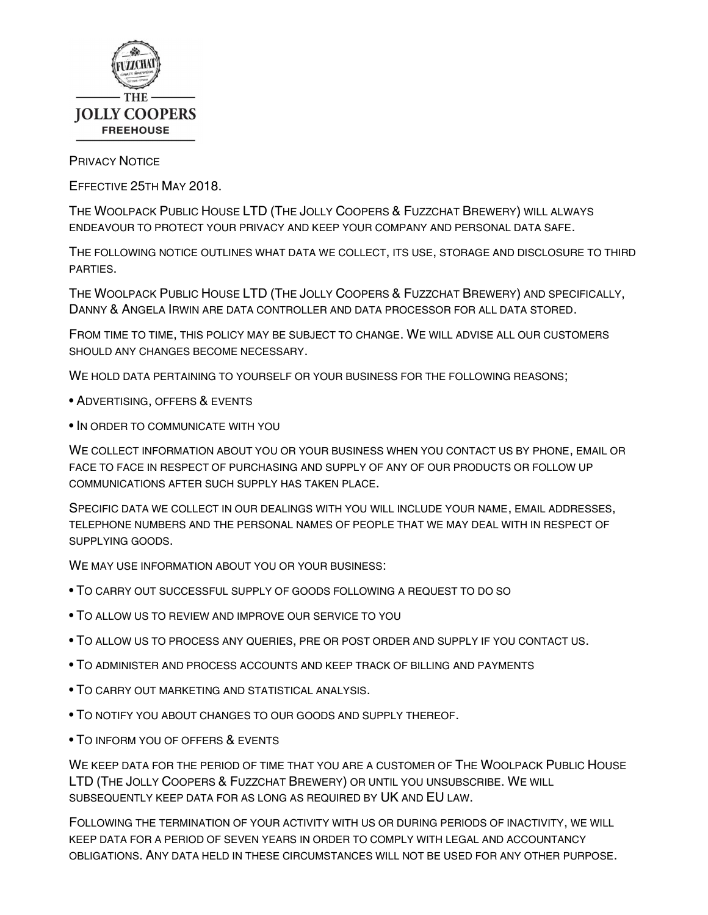

## **PRIVACY NOTICE**

EFFECTIVE 25TH MAY 2018.

THE WOOLPACK PUBLIC HOUSE LTD (THE JOLLY COOPERS & FUZZCHAT BREWERY) WILL ALWAYS

ENDEAVOUR TO PROTECT YOUR PRIVACY AND KEEP YOUR COMPANY AND PERSONAL DATA SAFE.<br>THE FOLLOWING NOTICE OUTLINES WHAT DATA WE COLLECT, ITS USE, STORAGE AND DISCLOSURE TO THIRD

PARTIES.<br>THE WOOLPACK PUBLIC HOUSE LTD (THE JOLLY COOPERS & FUZZCHAT BREWERY) AND SPECIFICALLY, DANNY & ANGELA IRWIN ARE DATA CONTROLLER AND DATA PROCESSOR FOR ALL DATA STORED.<br>FROM TIME TO TIME, THIS POLICY MAY BE SUBJECT TO CHANGE. WE WILL ADVISE ALL OUR CUSTOMERS

SHOULD ANY CHANGES BECOME NECESSARY.<br>WE HOLD DATA PERTAINING TO YOURSELF OR YOUR BUSINESS FOR THE FOLLOWING REASONS;<br>• ADVERTISING, OFFERS & EVENTS

- 
- IN ORDER TO COMMUNICATE WITH YOU

WE COLLECT INFORMATION ABOUT YOU OR YOUR BUSINESS WHEN YOU CONTACT US BY PHONE, EMAIL OR FACE TO FACE IN RESPECT OF PURCHASING AND SUPPLY OF ANY OF OUR PRODUCTS OR FOLLOW UP COMMUNICATIONS AFTER SUCH SUPPLY HAS TAKEN PLACE.<br>SPECIFIC DATA WE COLLECT IN OUR DEALINGS WITH YOU WILL INCLUDE YOUR NAME, EMAIL ADDRESSES,

TELEPHONE NUMBERS AND THE PERSONAL NAMES OF PEOPLE THAT WE MAY DEAL WITH IN RESPECT OF SUPPLYING GOODS.

- WE MAY USE INFORMATION ABOUT YOU OR YOUR BUSINESS:<br>• TO CARRY OUT SUCCESSFUL SUPPLY OF GOODS FOLLOWING A REQUEST TO DO SO
- TO ALLOW US TO REVIEW AND IMPROVE OUR SERVICE TO YOU
- TO ALLOW US TO PROCESS ANY QUERIES, PRE OR POST ORDER AND SUPPLY IF YOU CONTACT US.<br>• TO ADMINISTER AND PROCESS ACCOUNTS AND KEEP TRACK OF BILLING AND PAYMENTS
- 
- 
- <sup>T</sup>O CARRY OUT MARKETING AND STATISTICAL ANALYSIS. <sup>T</sup>O NOTIFY YOU ABOUT CHANGES TO OUR GOODS AND SUPPLY THEREOF. <sup>T</sup>O INFORM YOU OF OFFERS & EVENTS
- 

WE KEEP DATA FOR THE PERIOD OF TIME THAT YOU ARE A CUSTOMER OF THE WOOLPACK PUBLIC HOUSE LTD (THE JOLLY COOPERS & FUZZCHAT BREWERY) OR UNTIL YOU UNSUBSCRIBE. WE WILL SUBSEQUENTLY KEEP DATA FOR AS LONG AS REQUIRED BY **UK** AND **EU** LAW.<br>FOLLOWING THE TERMINATION OF YOUR ACTIVITY WITH US OR DURING PERIODS OF INACTIVITY, WE WILL

KEEP DATA FOR A PERIOD OF SEVEN YEARS IN ORDER TO COMPLY WITH LEGAL AND ACCOUNTANCY OBLIGATIONS. ANY DATA HELD IN THESE CIRCUMSTANCES WILL NOT BE USED FOR ANY OTHER PURPOSE.